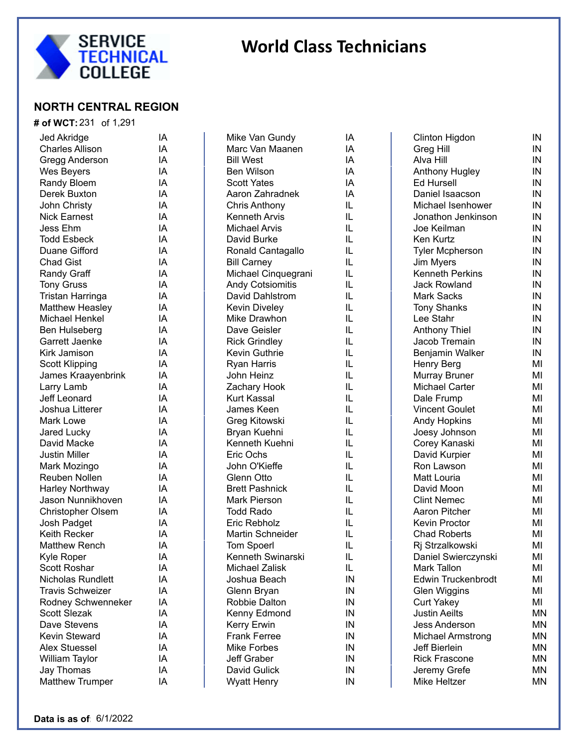

#### **NORTH CENTRAL REGION**

#### **# of WCT:** 231 of 1,291 Jed Akridge **IA** Charles Allison **IA** Gregg Anderson IA Wes Beyers **IA** Randy Bloem **IA** Derek Buxton **IA** John Christy IA Nick Earnest IA Jess Ehm IA Todd Esbeck IA Duane Gifford **IA** Chad Gist **IA** Randy Graff **IA** Tony Gruss **IA** Tristan Harringa IA Matthew Heasley **IA** Michael Henkel **IA** Ben Hulseberg **IA** Garrett Jaenke **IA** Kirk Jamison IA Scott Klipping **IA** James Kraayenbrink IA Larry Lamb IA Jeff Leonard IA Joshua Litterer **IA** Mark Lowe **IA** Jared Lucky **IA** David Macke **IA** Justin Miller **IA** Mark Mozingo **IA** Reuben Nollen **IA** Harley Northway **IA** Jason Nunnikhoven IA Christopher Olsem IA Josh Padget IA Keith Recker **IA** Matthew Rench IA Kyle Roper IA Scott Roshar **IA** Nicholas Rundlett **IA** Travis Schweizer IA Rodney Schwenneker IA Scott Slezak **IA** Dave Stevens **IA** Kevin Steward **IA** Alex Stuessel **IA** William Taylor **IA**

Mike Van Gundy lA Marc Van Maanen IA Bill West **IA** Ben Wilson **IA** Scott Yates (IA<br>Aaron Zahradnek (IA Aaron Zahradnek Chris Anthony IL Kenneth Arvis **IL** Michael Arvis **IL** David Burke **IL** Ronald Cantagallo IL Bill Carney **IL** Michael Cinquegrani IL Andy Cotsiomitis IL David Dahlstrom IL Kevin Diveley **IL** Mike Drawhon IL Dave Geisler **IL** Rick Grindley **IL** Kevin Guthrie **IL** Ryan Harris **IL** John Heinz IL Zachary Hook IL Kurt Kassal **IL** James Keen IL Greg Kitowski **IL** Bryan Kuehni **IL** Kenneth Kuehni IL Eric Ochs IL John O'Kieffe **IL** Glenn Otto **IL** Brett Pashnick IL Mark Pierson IL Todd Rado IL Eric Rebholz IL Martin Schneider **IL** Tom Spoerl **IL** Kenneth Swinarski IL Michael Zalisk IL Joshua Beach IN Glenn Bryan **IN** Robbie Dalton IN Kenny Edmond IN Kerry Erwin **IN** Frank Ferree IN Mike Forbes **IN** Jeff Graber IN David Gulick **IN** Wyatt Henry **IN** 

| <br> <br> <br> <br> <br> <br> |  |
|-------------------------------|--|
|                               |  |
|                               |  |
|                               |  |
|                               |  |
|                               |  |

| Clinton Higdon            | IN        |
|---------------------------|-----------|
| <b>Greg Hill</b>          | IN        |
| Alva Hill                 | IN        |
| Anthony Hugley            | IN        |
| <b>Ed Hursell</b>         | IN        |
| Daniel Isaacson           | IN        |
| Michael Isenhower         | IN        |
| Jonathon Jenkinson        | IN        |
| Joe Keilman               | IN        |
| Ken Kurtz                 | IN        |
| <b>Tyler Mcpherson</b>    | IN        |
| Jim Myers                 | IN        |
| <b>Kenneth Perkins</b>    | IN        |
| <b>Jack Rowland</b>       | IN        |
| <b>Mark Sacks</b>         | IN        |
| <b>Tony Shanks</b>        | IN        |
| Lee Stahr                 | IN        |
| <b>Anthony Thiel</b>      | IN        |
| Jacob Tremain             | IN        |
| Benjamin Walker           | IN        |
| Henry Berg                | MI        |
| Murray Bruner             | MI        |
| <b>Michael Carter</b>     | MI        |
| Dale Frump                | MI        |
| <b>Vincent Goulet</b>     | MI        |
| <b>Andy Hopkins</b>       | MI        |
| Joesy Johnson             | MI        |
| Corey Kanaski             | MI        |
| David Kurpier             | MI        |
| Ron Lawson                | MI        |
| Matt Louria               | MI        |
| David Moon                | MI        |
| <b>Clint Nemec</b>        | MI        |
| <b>Aaron Pitcher</b>      | MI        |
| <b>Kevin Proctor</b>      | MI        |
| <b>Chad Roberts</b>       | MI        |
| Rj Strzalkowski           | MI        |
| Daniel Swierczynski       | ΜI        |
| Mark Tallon               | MI        |
| <b>Edwin Truckenbrodt</b> | MI        |
| <b>Glen Wiggins</b>       | MI        |
| <b>Curt Yakey</b>         | MI        |
| <b>Justin Aeilts</b>      | ΜN        |
| <b>Jess Anderson</b>      | <b>MN</b> |
| Michael Armstrong         | ΜN        |
| Jeff Bierlein             | ΜN        |
| <b>Rick Frascone</b>      | MN        |
| Jeremy Grefe              | ΜN        |
| Mike Heltzer              | ΜN        |
|                           |           |

Jay Thomas IA Matthew Trumper IA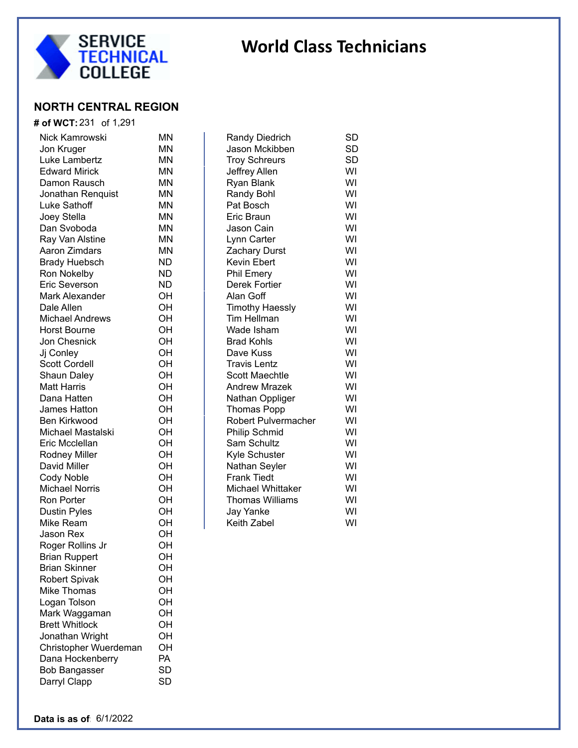

 $SD$  $SD$ 

### **NORTH CENTRAL REGION**

| # of WCT: 231 of 1,291 |           |                          |           |
|------------------------|-----------|--------------------------|-----------|
| Nick Kamrowski         | ΜN        | Randy Diedrich           | SD        |
| Jon Kruger             | ΜN        | Jason Mckibben           | <b>SD</b> |
| Luke Lambertz          | ΜN        | <b>Troy Schreurs</b>     | <b>SD</b> |
| <b>Edward Mirick</b>   | ΜN        | Jeffrey Allen            | WI        |
| Damon Rausch           | ΜN        | Ryan Blank               | WI        |
| Jonathan Renquist      | ΜN        | <b>Randy Bohl</b>        | WI        |
| Luke Sathoff           | ΜN        | Pat Bosch                | WI        |
| Joey Stella            | ΜN        | Eric Braun               | WI        |
| Dan Svoboda            | ΜN        | Jason Cain               | WI        |
| Ray Van Alstine        | ΜN        | Lynn Carter              | WI        |
| Aaron Zimdars          | ΜN        | <b>Zachary Durst</b>     | WI        |
| <b>Brady Huebsch</b>   | ND        | Kevin Ebert              | WI        |
| Ron Nokelby            | ND        | <b>Phil Emery</b>        | WI        |
| Eric Severson          | <b>ND</b> | Derek Fortier            | WI        |
| Mark Alexander         | OH        | Alan Goff                | WI        |
| Dale Allen             | OH        | <b>Timothy Haessly</b>   | WI        |
| <b>Michael Andrews</b> | OH        | Tim Hellman              | WI        |
| <b>Horst Bourne</b>    | OH        | Wade Isham               | WI        |
| Jon Chesnick           | OH        | <b>Brad Kohls</b>        | WI        |
| Jj Conley              | OH        | Dave Kuss                | WI        |
| <b>Scott Cordell</b>   | OH        | <b>Travis Lentz</b>      | WI        |
| Shaun Daley            | OH        | <b>Scott Maechtle</b>    | WI        |
| <b>Matt Harris</b>     | OH        | <b>Andrew Mrazek</b>     | WI        |
| Dana Hatten            | OH        | Nathan Oppliger          | WI        |
| James Hatton           | OH        | <b>Thomas Popp</b>       | WI        |
| Ben Kirkwood           | OH        | Robert Pulvermacher      | WI        |
| Michael Mastalski      | OH        | Philip Schmid            | WI        |
| Eric Mcclellan         | OH        | Sam Schultz              | WI        |
| <b>Rodney Miller</b>   | OH        | Kyle Schuster            | WI        |
| David Miller           | OH        | Nathan Seyler            | WI        |
| Cody Noble             | OH        | <b>Frank Tiedt</b>       | WI        |
| <b>Michael Norris</b>  | OH        | <b>Michael Whittaker</b> | WI        |
| Ron Porter             | OH        | <b>Thomas Williams</b>   | WI        |
| <b>Dustin Pyles</b>    | OH        | Jay Yanke                | WI        |
| Mike Ream              | OH        | Keith Zabel              | WI        |
| Jason Rex              | OH        |                          |           |
| Roger Rollins Jr       | ΟH        |                          |           |
| <b>Brian Ruppert</b>   | OH        |                          |           |
| <b>Brian Skinner</b>   | OH        |                          |           |
| <b>Robert Spivak</b>   | OH        |                          |           |
| Mike Thomas            | OH        |                          |           |
| Logan Tolson           | OH        |                          |           |
| Mark Waggaman          | OH        |                          |           |
| <b>Brett Whitlock</b>  | OH        |                          |           |
| Jonathan Wright        | OH        |                          |           |
| Christopher Wuerdeman  | OH        |                          |           |
| Dana Hockenberry       | PA        |                          |           |
| <b>Bob Bangasser</b>   | <b>SD</b> |                          |           |
| Darryl Clapp           | <b>SD</b> |                          |           |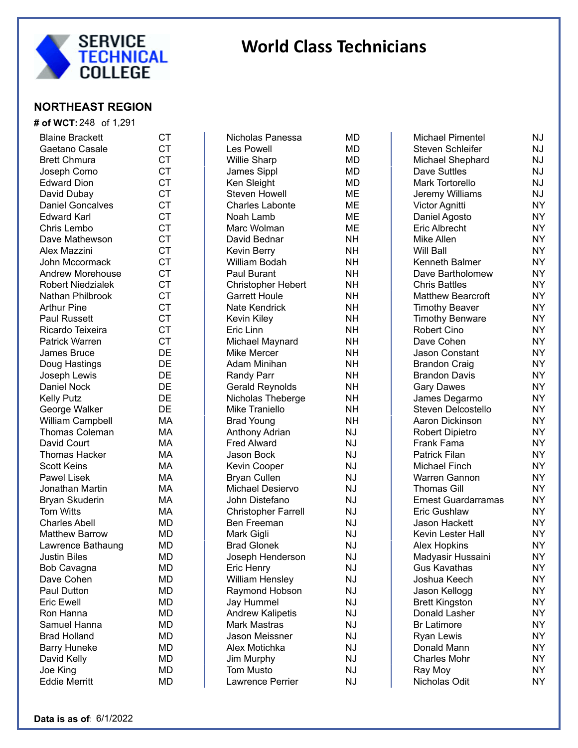

### **NORTHEAST REGION**

| <b># of WCT:</b> 248 of 1,291 |           |
|-------------------------------|-----------|
| <b>Blaine Brackett</b>        | CT        |
| Gaetano Casale                | <b>CT</b> |
| <b>Brett Chmura</b>           | <b>CT</b> |
| Joseph Como                   | <b>CT</b> |
| <b>Edward Dion</b>            | <b>CT</b> |
| David Dubay                   | <b>CT</b> |
| <b>Daniel Goncalves</b>       | <b>CT</b> |
| <b>Edward Karl</b>            | <b>CT</b> |
| Chris Lembo                   | <b>CT</b> |
| Dave Mathewson                | <b>CT</b> |
| Alex Mazzini                  | <b>CT</b> |
| John Mccormack                | <b>CT</b> |
| <b>Andrew Morehouse</b>       | <b>CT</b> |
| <b>Robert Niedzialek</b>      | <b>CT</b> |
| Nathan Philbrook              | <b>CT</b> |
| <b>Arthur Pine</b>            | <b>CT</b> |
| <b>Paul Russett</b>           | <b>CT</b> |
| Ricardo Teixeira              | <b>CT</b> |
| <b>Patrick Warren</b>         | <b>CT</b> |
| <b>James Bruce</b>            | DE        |
| Doug Hastings                 | DE        |
| Joseph Lewis                  | DE        |
| <b>Daniel Nock</b>            | DE        |
| <b>Kelly Putz</b>             | DE        |
| George Walker                 | DE        |
| William Campbell              | МA        |
| <b>Thomas Coleman</b>         | МA        |
| David Court                   | МA        |
| <b>Thomas Hacker</b>          | МA        |
| <b>Scott Keins</b>            | МA        |
| <b>Pawel Lisek</b>            | МA        |
| Jonathan Martin               | МA        |
| <b>Bryan Skuderin</b>         | MA        |
| <b>Tom Witts</b>              | МA        |
| <b>Charles Abell</b>          | MD        |
| <b>Matthew Barrow</b>         | MD        |
| Lawrence Bathaung             | MD        |
| <b>Justin Biles</b>           | MD        |
| <b>Bob Cavagna</b>            | MD        |
| Dave Cohen                    | MD        |
| Paul Dutton                   | MD        |
| <b>Eric Ewell</b>             | MD        |
| Ron Hanna                     | MD        |
| Samuel Hanna                  | MD        |
| <b>Brad Holland</b>           | MD        |
| <b>Barry Huneke</b>           | MD        |
| David Kelly                   | MD        |
| Joe King                      | MD        |
| <b>Eddie Merritt</b>          | MD        |

| Nicholas Panessa           | MD        |
|----------------------------|-----------|
| <b>Les Powell</b>          | MD        |
| <b>Willie Sharp</b>        | MD        |
| James Sippl                | МD        |
| Ken Sleight                | <b>MD</b> |
| Steven Howell              | <b>ME</b> |
| <b>Charles Labonte</b>     | <b>ME</b> |
| Noah Lamb                  | <b>ME</b> |
| Marc Wolman                | <b>ME</b> |
| David Bednar               | NΗ        |
| Kevin Berry                | NΗ        |
| William Bodah              | <b>NH</b> |
| Paul Burant                | NΗ        |
| <b>Christopher Hebert</b>  | NΗ        |
| <b>Garrett Houle</b>       | NΗ        |
| Nate Kendrick              | NΗ        |
| Kevin Kiley                | <b>NH</b> |
| Eric Linn                  | <b>NH</b> |
| Michael Maynard            | NΗ        |
| <b>Mike Mercer</b>         | <b>NH</b> |
| Adam Minihan               | <b>NH</b> |
| <b>Randy Parr</b>          | NΗ        |
| <b>Gerald Reynolds</b>     | NΗ        |
| Nicholas Theberge          | NΗ        |
| Mike Traniello             | NΗ        |
| <b>Brad Young</b>          | NΗ        |
| Anthony Adrian             | NJ        |
| <b>Fred Alward</b>         | NJ        |
| Jason Bock                 | NJ        |
| Kevin Cooper               | ΝJ        |
| <b>Bryan Cullen</b>        | ΝJ        |
| Michael Desiervo           | ΝJ        |
| John Distefano             | ΝJ        |
| <b>Christopher Farrell</b> | ΝJ        |
| <b>Ben Freeman</b>         | ΝJ        |
| Mark Gigli                 | ΝJ        |
| <b>Brad Glonek</b>         | NJ        |
| Joseph Henderson           | NJ        |
| Eric Henry                 | NJ        |
| <b>William Hensley</b>     | NJ        |
| Raymond Hobson             | NJ        |
| <b>Jay Hummel</b>          | NJ        |
| <b>Andrew Kalipetis</b>    | NJ        |
| <b>Mark Mastras</b>        | NJ        |
| <b>Jason Meissner</b>      | NJ        |
| Alex Motichka              | NJ        |
| Jim Murphy                 | NJ        |
| <b>Tom Musto</b>           | NJ        |
| Lawrence Perrier           | NJ        |
|                            |           |

| МD      |
|---------|
| MI<br>) |
| МI<br>) |
| MI      |
| MI      |
| MI      |
| MI      |
| M<br>I  |
| MI      |
| NΗ      |
| NΗ      |
| NH      |
| NH      |
| NH      |
| NH      |
| NH      |
| NH      |
| NH      |
| NH      |
| NH      |
| NH      |
| NH      |
| NH      |
| NH      |
| NΗ      |
| NΗ      |
| NJ      |
| NJ      |
| NJ      |
| NJ      |
| NJ      |
| NJ      |
| NJ      |
| NJ      |
| NJ      |
| NJ      |
| NJ      |
| NJ      |
| NJ      |
| NJ      |
| NJ      |
| NJ      |
| NJ      |
| NJ      |
| NJ      |
| NJ      |
| NJ      |
| NJ      |

| <b>Michael Pimentel</b>    | NJ |
|----------------------------|----|
| Steven Schleifer           | NJ |
| Michael Shephard           | NJ |
| <b>Dave Suttles</b>        | NJ |
| <b>Mark Tortorello</b>     | NJ |
| Jeremy Williams            | NJ |
| Victor Agnitti             | NΥ |
| Daniel Agosto              | NΥ |
| <b>Eric Albrecht</b>       | NΥ |
| Mike Allen                 | NΥ |
| Will Ball                  | NΥ |
| Kenneth Balmer             | NΥ |
| Dave Bartholomew           | NΥ |
| <b>Chris Battles</b>       | NΥ |
| <b>Matthew Bearcroft</b>   | NΥ |
| <b>Timothy Beaver</b>      | NΥ |
| <b>Timothy Benware</b>     | NΥ |
| <b>Robert Cino</b>         | NΥ |
| Dave Cohen                 | NΥ |
| <b>Jason Constant</b>      | NΥ |
| <b>Brandon Craig</b>       | NΥ |
| <b>Brandon Davis</b>       | NΥ |
| <b>Gary Dawes</b>          | NΥ |
| James Degarmo              | NΥ |
| <b>Steven Delcostello</b>  | NΥ |
| Aaron Dickinson            | NΥ |
| <b>Robert Dipietro</b>     | NΥ |
| Frank Fama                 | NΥ |
| <b>Patrick Filan</b>       | NΥ |
| <b>Michael Finch</b>       | NΥ |
| Warren Gannon              | NΥ |
| <b>Thomas Gill</b>         | NΥ |
| <b>Ernest Guardarramas</b> | NΥ |
| <b>Eric Gushlaw</b>        | NΥ |
| <b>Jason Hackett</b>       | NΥ |
| Kevin Lester Hall          | NΥ |
| <b>Alex Hopkins</b>        | NY |
| Madyasir Hussaini          | NΥ |
| Gus Kavathas               | NΥ |
| Joshua Keech               | NY |
| Jason Kellogg              | NY |
| <b>Brett Kingston</b>      | NY |
| Donald Lasher              | NY |
| <b>Br Latimore</b>         | NY |
| <b>Ryan Lewis</b>          | NY |
| Donald Mann                | NY |
| <b>Charles Mohr</b>        | NΥ |
| Ray Moy                    | NY |
| Nicholas Odit              | NΥ |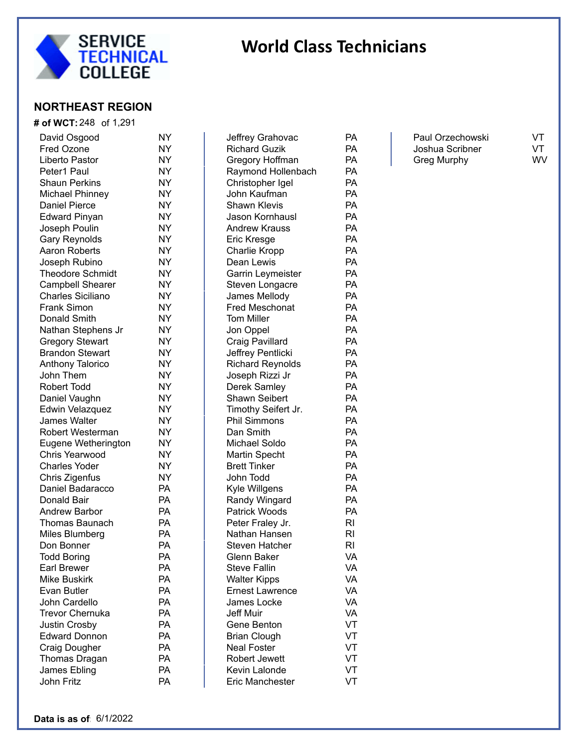

## **NORTHEAST REGION**

| # of WCT: 248 of 1,291   |    |
|--------------------------|----|
| David Osgood             | NY |
| <b>Fred Ozone</b>        | NY |
| Liberto Pastor           | NY |
| Peter1 Paul              | NΥ |
| <b>Shaun Perkins</b>     | NΥ |
| <b>Michael Phinney</b>   | NΥ |
| <b>Daniel Pierce</b>     | ΝY |
| <b>Edward Pinyan</b>     | ΝY |
| Joseph Poulin            | ΝY |
| <b>Gary Reynolds</b>     | ΝY |
| <b>Aaron Roberts</b>     | ΝY |
| Joseph Rubino            | ΝY |
| <b>Theodore Schmidt</b>  | NΥ |
| <b>Campbell Shearer</b>  | ΝY |
| <b>Charles Siciliano</b> | ΝY |
| <b>Frank Simon</b>       | ΝY |
| Donald Smith             | ΝY |
| Nathan Stephens Jr       | ΝY |
| <b>Gregory Stewart</b>   | ΝY |
| <b>Brandon Stewart</b>   | ΝY |
| Anthony Talorico         | ΝY |
| John Them                | ΝY |
| Robert Todd              | ΝY |
| Daniel Vaughn            | NΥ |
| Edwin Velazquez          | NY |
| <b>James Walter</b>      | NY |
| Robert Westerman         | NY |
| Eugene Wetherington      | NY |
| <b>Chris Yearwood</b>    | NY |
| <b>Charles Yoder</b>     | NY |
| Chris Zigenfus           | NY |
| Daniel Badaracco         | РA |
| Donald Bair              | PA |
| <b>Andrew Barbor</b>     | РA |
| Thomas Baunach           | РA |
| Miles Blumberg           | PA |
| Don Bonner               | PA |
| <b>Todd Boring</b>       | PA |
| <b>Earl Brewer</b>       | PA |
| <b>Mike Buskirk</b>      | PA |
| Evan Butler              | PA |
| <b>John Cardello</b>     | PA |
| <b>Trevor Chernuka</b>   | PA |
| <b>Justin Crosby</b>     | PA |
| <b>Edward Donnon</b>     | PA |
| <b>Craig Dougher</b>     | PA |
| Thomas Dragan            | PA |
| James Ebling             | PA |
| John Fritz               | PA |

| Jeffrey Grahovac                              | PА        |
|-----------------------------------------------|-----------|
| <b>Richard Guzik</b>                          | PA        |
| Gregory Hoffman                               | PA        |
| Raymond Hollenbach                            | PА        |
| Christopher Igel                              | PА        |
| John Kaufman                                  | PА        |
| <b>Shawn Klevis</b>                           | PА        |
| Jason Kornhausl                               | PА        |
| <b>Andrew Krauss</b>                          | PА        |
| Eric Kresge                                   | PА        |
| <b>Charlie Kropp</b>                          | PА        |
| Dean Lewis                                    | PА        |
| Garrin Leymeister                             | PА        |
| Steven Longacre                               | PА        |
| James Mellody                                 | PА        |
| <b>Fred Meschonat</b>                         | PА        |
| <b>Tom Miller</b>                             | PА        |
| Jon Oppel                                     | PА        |
| Craig Pavillard                               | PА        |
| Jeffrey Pentlicki                             | PА        |
| <b>Richard Reynolds</b>                       | PА        |
| Joseph Rizzi Jr                               | PА        |
| Derek Samley                                  | PА        |
| Shawn Seibert                                 | PА        |
| Timothy Seifert Jr.                           | PА        |
| <b>Phil Simmons</b>                           | PА        |
| Dan Smith                                     | PА        |
| Michael Soldo                                 | PА        |
| Martin Specht                                 | PА        |
| <b>Brett Tinker</b>                           | PА        |
| John Todd                                     | PА        |
| Kyle Willgens                                 | PА        |
| Randy Wingard                                 | PА        |
| Patrick Woods                                 | PA        |
| Peter Fraley Jr.                              | RI        |
| Nathan Hansen                                 | RI        |
| Steven Hatcher                                | RI        |
| Glenn Baker                                   | VA        |
| <b>Steve Fallin</b>                           |           |
|                                               | VA<br>VA  |
| <b>Walter Kipps</b><br><b>Ernest Lawrence</b> | <b>VA</b> |
| James Locke                                   | VA        |
| <b>Jeff Muir</b>                              | VA        |
|                                               |           |
| Gene Benton                                   | VT        |
| <b>Brian Clough</b>                           | VT        |
| <b>Neal Foster</b>                            | VT        |
| <b>Robert Jewett</b>                          | VT        |
| Kevin Lalonde                                 | VT        |
| <b>Eric Manchester</b>                        | VT        |

Paul Orzechowski VT<br>Joshua Scribner VT Joshua Scribner Greg Murphy WV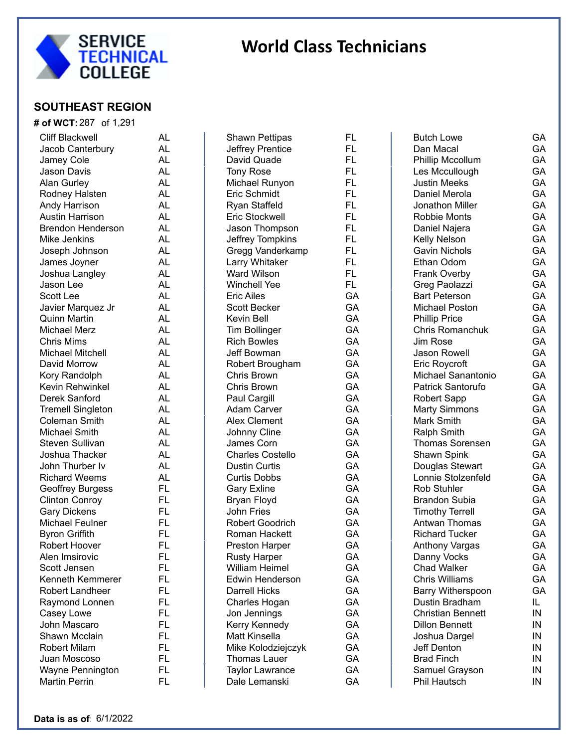

### **SOUTHEAST REGION**

| <b># of WCT:</b> 287 of 1,291 |           |
|-------------------------------|-----------|
| <b>Cliff Blackwell</b>        | <b>AL</b> |
| Jacob Canterbury              | <b>AL</b> |
| Jamey Cole                    | <b>AL</b> |
| Jason Davis                   | AL        |
| <b>Alan Gurley</b>            | AL        |
| Rodney Halsten                | AL        |
| Andy Harrison                 | <b>AL</b> |
| <b>Austin Harrison</b>        | <b>AL</b> |
| <b>Brendon Henderson</b>      | <b>AL</b> |
| Mike Jenkins                  | <b>AL</b> |
| Joseph Johnson                | <b>AL</b> |
| James Joyner                  | <b>AL</b> |
| Joshua Langley                | <b>AL</b> |
| Jason Lee                     | <b>AL</b> |
| <b>Scott Lee</b>              | <b>AL</b> |
| Javier Marquez Jr             | <b>AL</b> |
| <b>Quinn Martin</b>           | <b>AL</b> |
| Michael Merz                  | <b>AL</b> |
| <b>Chris Mims</b>             | <b>AL</b> |
| <b>Michael Mitchell</b>       | <b>AL</b> |
| David Morrow                  | <b>AL</b> |
| Kory Randolph                 | <b>AL</b> |
| Kevin Rehwinkel               | <b>AL</b> |
| Derek Sanford                 | <b>AL</b> |
| <b>Tremell Singleton</b>      | <b>AL</b> |
| <b>Coleman Smith</b>          | <b>AL</b> |
| <b>Michael Smith</b>          | <b>AL</b> |
| Steven Sullivan               | <b>AL</b> |
| Joshua Thacker                | <b>AL</b> |
| John Thurber Iv               | <b>AL</b> |
| <b>Richard Weems</b>          | <b>AL</b> |
| <b>Geoffrey Burgess</b>       | FL        |
| <b>Clinton Conroy</b>         | FL        |
| <b>Gary Dickens</b>           | FL        |
| <b>Michael Feulner</b>        | FL        |
| <b>Byron Griffith</b>         | FL        |
| Robert Hoover                 | FL        |
| Alen Imsirovic                | FL        |
| Scott Jensen                  | FL        |
| Kenneth Kemmerer              | FL        |
| Robert Landheer               | FL        |
| Raymond Lonnen                | FL        |
| Casey Lowe                    | FL        |
| John Mascaro                  | FL        |
| Shawn Mcclain                 | FL        |
| <b>Robert Milam</b>           | FL        |
| Juan Moscoso                  | FL        |
| Wayne Pennington              | FL        |
| <b>Martin Perrin</b>          | FL        |

| Shawn Pettipas                 | FL       |
|--------------------------------|----------|
| Jeffrey Prentice               | FL       |
| David Quade                    | FL       |
| <b>Tony Rose</b>               | FL       |
| Michael Runyon                 | FL       |
| Eric Schmidt                   | FL       |
| Ryan Staffeld                  | FL       |
| Eric Stockwell                 | FL       |
| Jason Thompson                 | FL       |
| Jeffrey Tompkins               | FL       |
| Gregg Vanderkamp               | FL       |
| Larry Whitaker                 | FL       |
| Ward Wilson                    | FL       |
| Winchell Yee                   | FL.      |
| <b>Eric Ailes</b>              | GA       |
| <b>Scott Becker</b>            | GA       |
| Kevin Bell                     | GA       |
| <b>Tim Bollinger</b>           | GA       |
| <b>Rich Bowles</b>             | GA       |
| Jeff Bowman                    | GA       |
| Robert Brougham                | GA       |
| <b>Chris Brown</b>             | GA       |
| <b>Chris Brown</b>             | GA       |
| Paul Cargill                   | GA       |
| <b>Adam Carver</b>             | GA       |
| <b>Alex Clement</b>            | GA       |
| Johnny Cline                   | GA       |
| James Corn                     | GA       |
| <b>Charles Costello</b>        | GA       |
| <b>Dustin Curtis</b>           | GA       |
| <b>Curtis Dobbs</b>            | GA       |
| <b>Gary Exline</b>             | GA       |
| <b>Bryan Floyd</b>             | GA       |
| John Fries                     | GA       |
| <b>Robert Goodrich</b>         | GA       |
| <b>Roman Hackett</b>           | GA       |
| <b>Preston Harper</b>          | GA       |
|                                | GA       |
| Rusty Harper<br>William Heimel | GА       |
| <b>Edwin Henderson</b>         | GA       |
| <b>Darrell Hicks</b>           | GA       |
|                                | GA       |
| Charles Hogan                  | GA       |
| Jon Jennings                   | GA       |
| Kerry Kennedy                  |          |
| <b>Matt Kinsella</b>           | GA<br>GA |
| Mike Kolodziejczyk             |          |
| Thomas Lauer                   | GA       |
| <b>Taylor Lawrance</b>         | GA       |
| Dale Lemanski                  | GA       |

| <b>Butch Lowe</b>        | GA  |
|--------------------------|-----|
| Dan Macal                | GA  |
| Phillip Mccollum         | GA  |
| Les Mccullough           | GA  |
| <b>Justin Meeks</b>      | GA  |
| Daniel Merola            | GA  |
| Jonathon Miller          | GA  |
| Robbie Monts             | GA  |
| Daniel Najera            | GA  |
| Kelly Nelson             | GA  |
| <b>Gavin Nichols</b>     | GA  |
| Ethan Odom               | GA  |
| <b>Frank Overby</b>      | GA  |
| Greg Paolazzi            | GA  |
| <b>Bart Peterson</b>     | GA  |
| <b>Michael Poston</b>    | GA  |
| <b>Phillip Price</b>     | GA  |
| <b>Chris Romanchuk</b>   | GA  |
| Jim Rose                 | GA  |
| <b>Jason Rowell</b>      | GA  |
| <b>Eric Roycroft</b>     | GA  |
| Michael Sanantonio       | GA  |
| Patrick Santorufo        | GA  |
| Robert Sapp              | GA  |
| <b>Marty Simmons</b>     | GA  |
| Mark Smith               | GA  |
| <b>Ralph Smith</b>       | GA  |
| <b>Thomas Sorensen</b>   | GA  |
| Shawn Spink              | GA  |
| Douglas Stewart          | GA  |
| Lonnie Stolzenfeld       | GA  |
| <b>Rob Stuhler</b>       | GA  |
| <b>Brandon Subia</b>     | GA  |
| <b>Timothy Terrell</b>   | GA  |
| Antwan Thomas            | GA  |
| <b>Richard Tucker</b>    | GA  |
| Anthony Vargas           | GA  |
| Danny Vocks              | GA  |
| <b>Chad Walker</b>       | GА  |
| <b>Chris Williams</b>    | GA  |
| <b>Barry Witherspoon</b> | GA  |
| Dustin Bradham           | IL. |
| <b>Christian Bennett</b> | IN  |
| <b>Dillon Bennett</b>    | IN  |
| Joshua Dargel            | IN  |
| Jeff Denton              | ΙN  |
| <b>Brad Finch</b>        | IN  |
| Samuel Grayson           | IN  |
| Phil Hautsch             | ΙN  |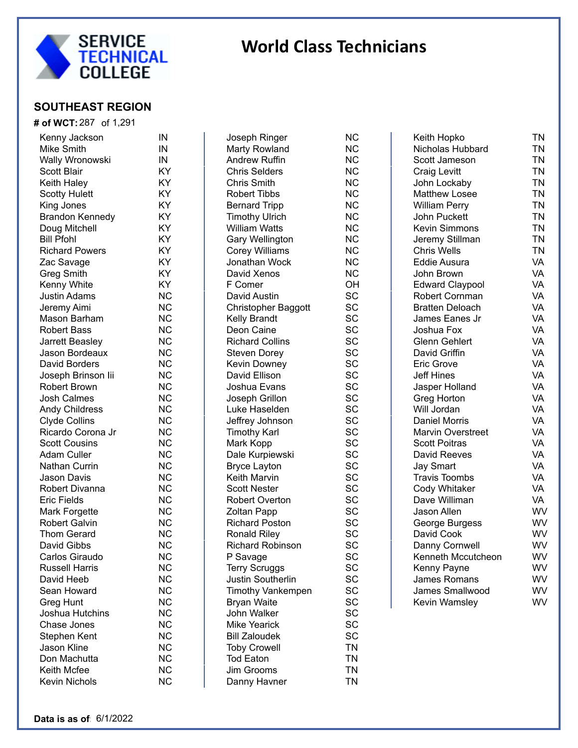

#### **SOUTHEAST REGION**

#### **# of WCT:** 287 of 1,291 Kenny Jackson IN Mike Smith **IN** Wally Wronowski MIN Scott Blair **KY** Keith Haley **KY** Scotty Hulett KY King Jones **KY** Brandon Kennedy KY Doug Mitchell **KY** Bill Pfohl KY Richard Powers **KY** Zac Savage KY Greg Smith KY Kenny White **KY** Justin Adams NC Jeremy Aimi NC Mason Barham NC Robert Bass NC Jarrett Beasley NC Jason Bordeaux NC David Borders **NC** Joseph Brinson Iii NC Robert Brown NC Josh Calmes NC Andy Childress NC Clyde Collins NC Ricardo Corona Jr NC Scott Cousins **NC** Adam Culler NC Nathan Currin NC Jason Davis **NC** Robert Divanna MC Eric Fields NC Mark Forgette NC Robert Galvin NC Thom Gerard **NC** David Gibbs NC Carlos Giraudo MC Russell Harris NC David Heeb NC Sean Howard NC Greg Hunt NC Joshua Hutchins NC Chase Jones **NC** Stephen Kent NC Jason Kline NC Don Machutta **NC** Keith Mcfee NC Kevin Nichols **NC**

| Joseph Ringer            | <b>NC</b> |
|--------------------------|-----------|
| Marty Rowland            | <b>NC</b> |
| <b>Andrew Ruffin</b>     | NC        |
| <b>Chris Selders</b>     | <b>NC</b> |
| <b>Chris Smith</b>       | <b>NC</b> |
| <b>Robert Tibbs</b>      | <b>NC</b> |
|                          | <b>NC</b> |
| <b>Bernard Tripp</b>     |           |
| <b>Timothy Ulrich</b>    | <b>NC</b> |
| <b>William Watts</b>     | <b>NC</b> |
| <b>Gary Wellington</b>   | <b>NC</b> |
| Corey Williams           | <b>NC</b> |
| Jonathan Wock            | <b>NC</b> |
| David Xenos              | <b>NC</b> |
| F Comer                  | OH        |
| David Austin             | SC        |
| Christopher Baggott      | SC        |
| <b>Kelly Brandt</b>      | SC        |
| Deon Caine               | SC        |
| <b>Richard Collins</b>   | SC        |
| <b>Steven Dorey</b>      | SC        |
| Kevin Downey             | SC        |
| David Ellison            | SC        |
| Joshua Evans             | SC        |
| Joseph Grillon           | SC        |
| Luke Haselden            | SC        |
| Jeffrey Johnson          | SC        |
| <b>Timothy Karl</b>      | SC        |
| Mark Kopp                | SC        |
|                          | SC        |
| Dale Kurpiewski          | SC        |
| <b>Bryce Layton</b>      |           |
| <b>Keith Marvin</b>      | SC        |
| <b>Scott Nester</b>      | SC        |
| <b>Robert Overton</b>    | SC        |
| <b>Zoltan Papp</b>       | SC        |
| <b>Richard Poston</b>    | SC        |
| <b>Ronald Riley</b>      | SC        |
| <b>Richard Robinson</b>  | SC        |
| P Savage                 | SC        |
| <b>Terry Scruggs</b>     | SC        |
| Justin Southerlin        | SC        |
| <b>Timothy Vankempen</b> | SC        |
| <b>Bryan Waite</b>       | SC        |
| John Walker              | SC        |
| <b>Mike Yearick</b>      | SC        |
| <b>Bill Zaloudek</b>     | SC        |
| <b>Toby Crowell</b>      | TN        |
| <b>Tod Eaton</b>         | TN        |
| Jim Grooms               | TN        |
| Danny Havner             | TN        |
|                          |           |

| Keith Hopko              | ΤN        |
|--------------------------|-----------|
| Nicholas Hubbard         | <b>TN</b> |
| Scott Jameson            | <b>TN</b> |
| <b>Craig Levitt</b>      | <b>TN</b> |
| John Lockaby             | <b>TN</b> |
| <b>Matthew Losee</b>     | <b>TN</b> |
| <b>William Perry</b>     | <b>TN</b> |
| John Puckett             | <b>TN</b> |
| <b>Kevin Simmons</b>     | <b>TN</b> |
| Jeremy Stillman          | <b>TN</b> |
| <b>Chris Wells</b>       | <b>TN</b> |
| <b>Eddie Ausura</b>      | VA        |
| John Brown               | VA        |
| <b>Edward Claypool</b>   | VA        |
| Robert Cornman           | VA        |
| <b>Bratten Deloach</b>   | <b>VA</b> |
| James Eanes Jr           | VA        |
| Joshua Fox               | VA        |
| <b>Glenn Gehlert</b>     | VA        |
| David Griffin            | VA        |
| <b>Eric Grove</b>        | VA        |
| <b>Jeff Hines</b>        | VA        |
| Jasper Holland           | VA        |
| Greg Horton              | VA        |
| Will Jordan              | VA        |
| <b>Daniel Morris</b>     | VA        |
| <b>Marvin Overstreet</b> | VA        |
| <b>Scott Poitras</b>     | VA        |
| David Reeves             | VA        |
| <b>Jay Smart</b>         | VA        |
| <b>Travis Toombs</b>     | VA        |
| Cody Whitaker            | VA        |
| Dave Williman            | VA        |
| Jason Allen              | WV        |
| George Burgess           | WV        |
| David Cook               | WV        |
| Danny Cornwell           | WV        |
| Kenneth Mccutcheon       | WV        |
| Kenny Payne              | WV        |
| <b>James Romans</b>      | WV        |
| James Smallwood          | WV        |
| Kevin Wamsley            | WV        |
|                          |           |

WV

WV

WV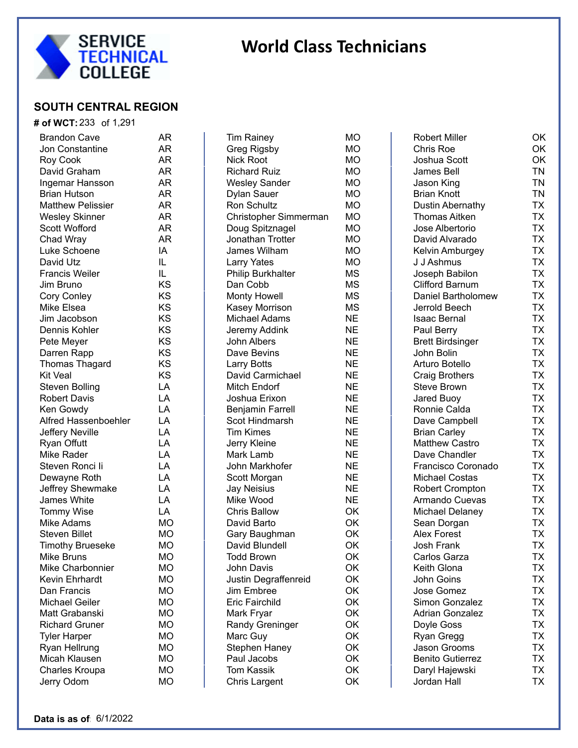

#### **SOUTH CENTRAL REGION**

#### **# of WCT:** 233 of 1,291

| <b>Brandon Cave</b>              | AR        |
|----------------------------------|-----------|
| Jon Constantine                  | AR        |
| Roy Cook                         | AR        |
| David Graham                     | AR        |
| Ingemar Hansson                  | AR        |
| <b>Brian Hutson</b>              | AR        |
| <b>Matthew Pelissier</b>         | AR        |
| <b>Wesley Skinner</b>            | AR        |
| <b>Scott Wofford</b>             | AR        |
| Chad Wray                        | AR        |
| Luke Schoene                     | ΙA        |
| David Utz                        | IL.       |
| <b>Francis Weiler</b>            | IL.       |
| Jim Bruno                        | ΚS        |
| Cory Conley                      | ΚS        |
| Mike Elsea                       | KS        |
| Jim Jacobson                     | KS        |
| Dennis Kohler                    | ΚS        |
| Pete Meyer                       | <b>KS</b> |
| Darren Rapp                      | ΚS        |
| <b>Thomas Thagard</b>            | KS        |
| <b>Kit Veal</b>                  | KS        |
| <b>Steven Bolling</b>            | LA        |
| <b>Robert Davis</b>              | LA        |
| Ken Gowdy                        | LA        |
| Alfred Hassenboehler             | LA        |
|                                  | LA        |
| Jeffery Neville                  | LA        |
| <b>Ryan Offutt</b><br>Mike Rader |           |
|                                  | LA        |
| Steven Ronci li                  | LA        |
| Dewayne Roth                     | LA        |
| Jeffrey Shewmake                 | LA        |
| <b>James White</b>               | LA        |
| <b>Tommy Wise</b>                | LA        |
| Mike Adams                       | МO        |
| <b>Steven Billet</b>             | MО        |
| <b>Timothy Brueseke</b>          | MО        |
| <b>Mike Bruns</b>                | МO        |
| Mike Charbonnier                 | МO        |
| <b>Kevin Ehrhardt</b>            | MO        |
| Dan Francis                      | МO        |
| <b>Michael Geiler</b>            | МO        |
| Matt Grabanski                   | МO        |
| <b>Richard Gruner</b>            | МO        |
| <b>Tyler Harper</b>              | МO        |
| Ryan Hellrung                    | МO        |
| Micah Klausen                    | МO        |
| Charles Kroupa                   | <b>MO</b> |
| Jerry Odom                       | МO        |

Tim Rainey MO Greg Rigsby MO Nick Root MO Richard Ruiz MO Wesley Sander MO Dylan Sauer MO Ron Schultz MO Christopher Simmerman MO Doug Spitznagel MO Jonathan Trotter MO James Wilham MO Larry Yates MO Philip Burkhalter MS Dan Cobb MS Monty Howell MS Kasey Morrison MS Michael Adams NE Jeremy Addink NE John Albers NE Dave Bevins NE Larry Botts NE David Carmichael NE Mitch Endorf NE Joshua Erixon NE Benjamin Farrell NE Scot Hindmarsh NE Tim Kimes NE Jerry Kleine NE Mark Lamb NE John Markhofer NE Scott Morgan NE Jay Neisius NE Mike Wood NE Chris Ballow OK David Barto **OK** Gary Baughman OK David Blundell **OK** Todd Brown OK John Davis OK Justin Degraffenreid OK Jim Embree OK Eric Fairchild OK Mark Fryar **OK** Randy Greninger **OK** Marc Guy **OK** Stephen Haney **OK** Paul Jacobs OK Tom Kassik OK Chris Largent OK

| <b>Robert Miller</b>      | ΟK        |
|---------------------------|-----------|
| <b>Chris Roe</b>          | OK        |
| <b>Joshua Scott</b>       | OK        |
| James Bell                | <b>TN</b> |
| Jason King                | <b>TN</b> |
| <b>Brian Knott</b>        | <b>TN</b> |
| Dustin Abernathy          | <b>TX</b> |
| <b>Thomas Aitken</b>      | <b>TX</b> |
| Jose Albertorio           | <b>TX</b> |
| David Alvarado            | <b>TX</b> |
| Kelvin Amburgey           | <b>TX</b> |
| J J Ashmus                | <b>TX</b> |
| Joseph Babilon            | <b>TX</b> |
| <b>Clifford Barnum</b>    | <b>TX</b> |
| <b>Daniel Bartholomew</b> | <b>TX</b> |
| Jerrold Beech             | <b>TX</b> |
| <b>Isaac Bernal</b>       | <b>TX</b> |
| Paul Berry                | <b>TX</b> |
| <b>Brett Birdsinger</b>   | <b>TX</b> |
| John Bolin                | <b>TX</b> |
| Arturo Botello            | <b>TX</b> |
| <b>Craig Brothers</b>     | <b>TX</b> |
| <b>Steve Brown</b>        | <b>TX</b> |
| <b>Jared Buoy</b>         | <b>TX</b> |
| Ronnie Calda              | <b>TX</b> |
| Dave Campbell             | <b>TX</b> |
| <b>Brian Carley</b>       | <b>TX</b> |
| <b>Matthew Castro</b>     | <b>TX</b> |
| Dave Chandler             | <b>TX</b> |
| Francisco Coronado        | <b>TX</b> |
| <b>Michael Costas</b>     | <b>TX</b> |
| <b>Robert Crompton</b>    | <b>TX</b> |
| Armando Cuevas            | <b>TX</b> |
| Michael Delaney           | <b>TX</b> |
| Sean Dorgan               | <b>TX</b> |
| <b>Alex Forest</b>        | <b>TX</b> |
| <b>Josh Frank</b>         | <b>TX</b> |
| Carlos Garza              | TΧ        |
| Keith Glona               | ТX        |
| John Goins                | <b>TX</b> |
| Jose Gomez                | <b>TX</b> |
| <b>Simon Gonzalez</b>     | <b>TX</b> |
| <b>Adrian Gonzalez</b>    | <b>TX</b> |
| Doyle Goss                | <b>TX</b> |
| Ryan Gregg                | <b>TX</b> |
| Jason Grooms              | <b>TX</b> |
| <b>Benito Gutierrez</b>   | <b>TX</b> |
| Daryl Hajewski            | <b>TX</b> |
| Jordan Hall               | <b>TX</b> |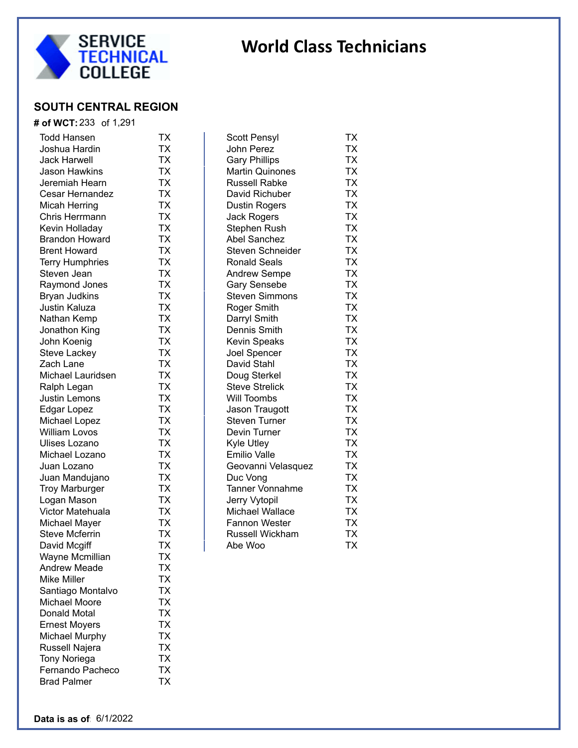

## **SOUTH CENTRAL REGION**

|  | # of WCT: 233 of 1,291 |  |
|--|------------------------|--|
|  |                        |  |

| <b>Todd Hansen</b>     | ТX        |
|------------------------|-----------|
| Joshua Hardin          | ТX        |
| <b>Jack Harwell</b>    | TΧ        |
| Jason Hawkins          | <b>TX</b> |
| Jeremiah Hearn         | <b>TX</b> |
| Cesar Hernandez        | <b>TX</b> |
| Micah Herring          | <b>TX</b> |
| <b>Chris Herrmann</b>  | <b>TX</b> |
| Kevin Holladay         | TX        |
| Brandon Howard         | TX        |
| <b>Brent Howard</b>    | TX        |
| <b>Terry Humphries</b> | TX        |
| Steven Jean            | TX        |
| Raymond Jones          | TX        |
| <b>Bryan Judkins</b>   | TX        |
| Justin Kaluza          | TX        |
| Nathan Kemp            | TX        |
| Jonathon King          | TX        |
| John Koenig            | TX        |
| Steve Lackey           | TX        |
| Zach Lane              | TX        |
| Michael Lauridsen      | TX        |
| Ralph Legan            | TX        |
| Justin Lemons          | TX        |
| Edgar Lopez            | TX        |
| Michael Lopez          | TX        |
| <b>William Lovos</b>   | TX        |
| Ulises Lozano          | TX        |
| Michael Lozano         | TX        |
| Juan Lozano            | <b>TX</b> |
| Juan Mandujano         | <b>TX</b> |
| <b>Troy Marburger</b>  | TΧ        |
| Logan Mason            | TΧ        |
| Victor Matehuala       | TΧ        |
| Michael Mayer          | TΧ        |
| <b>Steve Mcferrin</b>  | TΧ        |
| David Mcgiff           | ТX        |
| Wayne Mcmillian        | TX        |
| Andrew Meade           | ТX        |
| <b>Mike Miller</b>     | TX        |
| Santiago Montalvo      | <b>TX</b> |
| <b>Michael Moore</b>   | TX        |
| Donald Motal           | TX        |
| <b>Ernest Moyers</b>   | TX        |
| <b>Michael Murphy</b>  | TX        |
| Russell Najera         | TX        |
| <b>Tony Noriega</b>    | TX        |
| Fernando Pacheco       | <b>TX</b> |
| <b>Brad Palmer</b>     | ТX        |
|                        |           |

| Scott Pensyl            | ТX        |
|-------------------------|-----------|
| John Perez              | TX        |
| <b>Gary Phillips</b>    | ТX        |
| <b>Martin Quinones</b>  | <b>TX</b> |
| <b>Russell Rabke</b>    | TX        |
| David Richuber          | TX        |
| <b>Dustin Rogers</b>    | <b>TX</b> |
| <b>Jack Rogers</b>      | TX        |
| <b>Stephen Rush</b>     | <b>TX</b> |
| <b>Abel Sanchez</b>     | <b>TX</b> |
| <b>Steven Schneider</b> | <b>TX</b> |
| <b>Ronald Seals</b>     | <b>TX</b> |
| <b>Andrew Sempe</b>     | <b>TX</b> |
| <b>Gary Sensebe</b>     | <b>TX</b> |
| <b>Steven Simmons</b>   | <b>TX</b> |
| Roger Smith             | <b>TX</b> |
| Darryl Smith            | <b>TX</b> |
| Dennis Smith            | <b>TX</b> |
| <b>Kevin Speaks</b>     | <b>TX</b> |
| Joel Spencer            | TX        |
| David Stahl             | <b>TX</b> |
| Doug Sterkel            | TX        |
| <b>Steve Strelick</b>   | TX        |
| Will Toombs             | <b>TX</b> |
| Jason Traugott          | TX        |
| <b>Steven Turner</b>    | <b>TX</b> |
| Devin Turner            | TX        |
| Kyle Utley              | TX        |
| <b>Emilio Valle</b>     | ТX        |
| Geovanni Velasquez      | TХ        |
| Duc Vong                | TХ        |
| <b>Tanner Vonnahme</b>  | TX        |
| Jerry Vytopil           | TX        |
| Michael Wallace         | ТX        |
| <b>Fannon Wester</b>    | TX        |
| Russell Wickham         | TX        |
| Abe Woo                 | <b>ΤX</b> |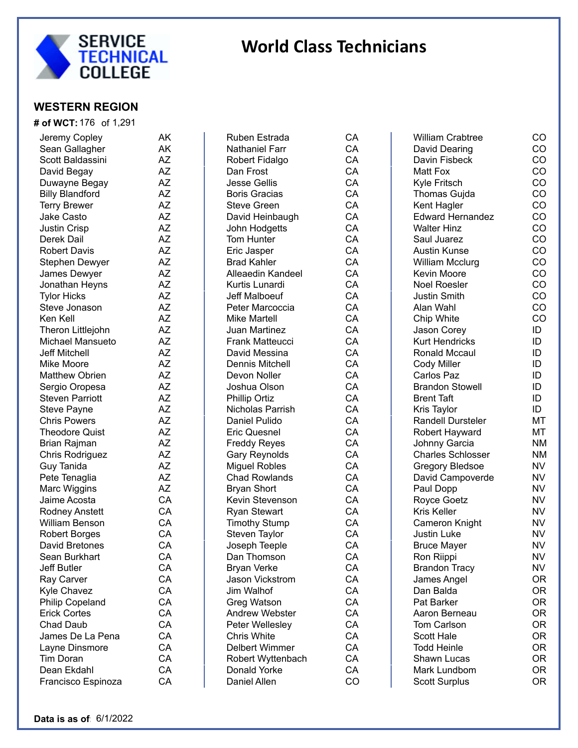

#### **WESTERN REGION**

| <b># of WCT:</b> 176 of 1,291      |    |
|------------------------------------|----|
| Jeremy Copley                      | AΚ |
| Sean Gallagher                     | AΚ |
| Scott Baldassini                   | AZ |
| David Begay                        | AΖ |
| Duwayne Begay                      | AZ |
| <b>Billy Blandford</b>             | AZ |
| <b>Terry Brewer</b>                | AZ |
| Jake Casto                         | AΖ |
| <b>Justin Crisp</b>                | AΖ |
| Derek Dail                         | AΖ |
| <b>Robert Davis</b>                | AΖ |
| Stephen Dewyer                     | AΖ |
| James Dewyer                       | AΖ |
| Jonathan Heyns                     | AΖ |
| <b>Tylor Hicks</b>                 | AΖ |
| Steve Jonason                      | AΖ |
| Ken Kell                           | AΖ |
| Theron Littlejohn                  | AΖ |
| Michael Mansueto                   | AΖ |
| <b>Jeff Mitchell</b>               | AΖ |
| <b>Mike Moore</b>                  | AΖ |
| <b>Matthew Obrien</b>              | AΖ |
| Sergio Oropesa                     | AΖ |
| <b>Steven Parriott</b>             | AΖ |
| <b>Steve Payne</b>                 | AΖ |
| <b>Chris Powers</b>                | AΖ |
| Theodore Quist                     | AΖ |
| Brian Rajman                       | AΖ |
| Chris Rodriguez                    | AΖ |
| <b>Guy Tanida</b>                  | AΖ |
| Pete Tenaglia                      | AΖ |
| Marc Wiggins                       | AZ |
| Jaime Acosta                       | CA |
| <b>Rodney Anstett</b>              | CA |
| <b>William Benson</b>              | CA |
| <b>Robert Borges</b>               | CA |
| David Bretones                     | CA |
| Sean Burkhart                      | CA |
| <b>Jeff Butler</b>                 | CA |
| Ray Carver                         | CA |
| Kyle Chavez                        | CA |
| Philip Copeland                    | CA |
| <b>Erick Cortes</b>                | CA |
| <b>Chad Daub</b>                   | CA |
|                                    | CA |
| James De La Pena                   | CA |
| Layne Dinsmore<br><b>Tim Doran</b> | CA |
| Dean Ekdahl                        | CA |
|                                    | CA |
| Francisco Espinoza                 |    |

| <b>Ruben Estrada</b>   | CА        |
|------------------------|-----------|
| <b>Nathaniel Farr</b>  | CA        |
| Robert Fidalgo         | CA        |
| Dan Frost              | CA        |
| <b>Jesse Gellis</b>    | CA        |
| <b>Boris Gracias</b>   | CA        |
| <b>Steve Green</b>     | CA        |
| David Heinbaugh        | CA        |
| John Hodgetts          | CA        |
| <b>Tom Hunter</b>      | CA        |
| Eric Jasper            | CA        |
| <b>Brad Kahler</b>     | CA        |
| Alleaedin Kandeel      | CA        |
| Kurtis Lunardi         | CA        |
|                        | CA        |
| <b>Jeff Malboeuf</b>   |           |
| Peter Marcoccia        | CA        |
| <b>Mike Martell</b>    | CA        |
| <b>Juan Martinez</b>   | CA        |
| <b>Frank Matteucci</b> | CA        |
| David Messina          | CA        |
| <b>Dennis Mitchell</b> | CA        |
| Devon Noller           | CA        |
| Joshua Olson           | CA        |
| <b>Phillip Ortiz</b>   | CA        |
| Nicholas Parrish       | CA        |
| <b>Daniel Pulido</b>   | CA        |
| <b>Eric Quesnel</b>    | CA        |
| <b>Freddy Reyes</b>    | CA        |
| <b>Gary Reynolds</b>   | CA        |
| <b>Miguel Robles</b>   | CA        |
| <b>Chad Rowlands</b>   | CA        |
| <b>Bryan Short</b>     | CA        |
| Kevin Stevenson        | CA        |
| <b>Ryan Stewart</b>    | CA        |
| <b>Timothy Stump</b>   | CA        |
| Steven Taylor          | CA        |
| Joseph Teeple          | CA        |
| Dan Thomson            | CA        |
| <b>Bryan Verke</b>     | CA        |
| Jason Vickstrom        | CA        |
| Jim Walhof             | CA        |
| <b>Greg Watson</b>     | CA        |
| <b>Andrew Webster</b>  | CA        |
| Peter Wellesley        | CA        |
| <b>Chris White</b>     | <b>CA</b> |
| <b>Delbert Wimmer</b>  | CA        |
| Robert Wyttenbach      | CA        |
| Donald Yorke           | CA        |
| Daniel Allen           | CO        |
|                        |           |

William Crabtree **CO** David Dearing **CO** Davin Fisbeck CO Matt Fox CO Kyle Fritsch CO Thomas Gujda CO Kent Hagler CO Edward Hernandez CO Walter Hinz **CO** Saul Juarez CO Austin Kunse CO William Mcclurg CO Kevin Moore **CO** Noel Roesler **CO** Justin Smith CO Alan Wahl CO Chip White CO Jason Corey **ID** Kurt Hendricks ID Ronald Mccaul **ID** Cody Miller **ID** Carlos Paz **ID** Brandon Stowell **ID** Brent Taft **ID** Kris Taylor **ID** Randell Dursteler MT Robert Hayward MT Johnny Garcia NM Charles Schlosser NM Gregory Bledsoe NV David Campoverde NV Paul Dopp NV Royce Goetz NV Kris Keller NV Cameron Knight NV Justin Luke NV Bruce Mayer NV Ron Riippi NV Brandon Tracy NV James Angel OR Dan Balda OR Pat Barker **OR** Aaron Berneau OR Tom Carlson OR Scott Hale OR Todd Heinle **OR** Shawn Lucas OR Mark Lundbom OR Scott Surplus **OR**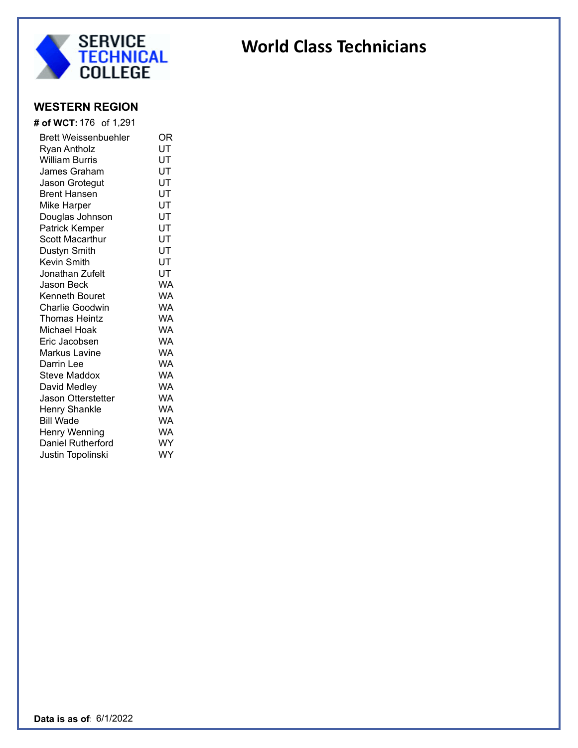

### **WESTERN REGION**

| <b># of WCT:</b> 176 of 1,291 |           |
|-------------------------------|-----------|
| Brett Weissenbuehler          | ΟR        |
| Ryan Antholz                  | UT        |
| <b>William Burris</b>         | UT        |
| James Graham                  | UT        |
| Jason Grotegut                | UT        |
| <b>Brent Hansen</b>           | UT        |
| Mike Harper                   | UT        |
| Douglas Johnson               | UT        |
| Patrick Kemper                | UT        |
| Scott Macarthur               | UT        |
| Dustyn Smith                  | UT        |
| <b>Kevin Smith</b>            | UT        |
| Jonathan Zufelt               | UT        |
| Jason Beck                    | WA        |
| Kenneth Bouret                | WA        |
| <b>Charlie Goodwin</b>        | WA        |
| Thomas Heintz                 | WA        |
| Michael Hoak                  | <b>WA</b> |
| Eric Jacobsen                 | WA        |
| Markus Lavine                 | WA        |
| Darrin Lee                    | WA        |
| Steve Maddox                  | WA        |
| David Medley                  | WA        |
| <b>Jason Otterstetter</b>     | WA        |
| Henry Shankle                 | <b>WA</b> |
| <b>Bill Wade</b>              | WA        |
| <b>Henry Wenning</b>          | WA        |
| Daniel Rutherford             | WY        |
| Justin Topolinski             | WY        |
|                               |           |